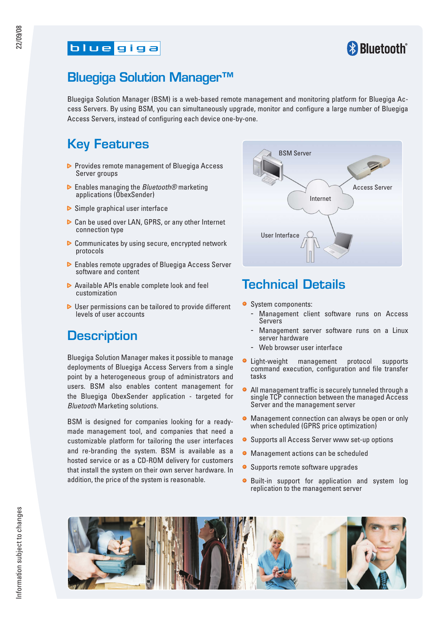#### **blue** giga



## Bluegiga Solution Manager™

Bluegiga Solution Manager (BSM) is a web-based remote management and monitoring platform for Bluegiga Access Servers. By using BSM, you can simultaneously upgrade, monitor and configure a large number of Bluegiga Access Servers, instead of configuring each device one-by-one.

## Key Features

- **P** Provides remote management of Bluegiga Access Server groups
- Enables managing the *Bluetooth®* marketing applications (ObexSender)
- $\triangleright$  Simple graphical user interface
- ▶ Can be used over LAN, GPRS, or any other Internet connection type
- ▶ Communicates by using secure, encrypted network protocols
- **Enables remote upgrades of Bluegiga Access Server** software and content
- ▶ Available APIs enable complete look and feel customization
- $\triangleright$  User permissions can be tailored to provide different levels of user accounts

## **Description**

Bluegiga Solution Manager makes it possible to manage deployments of Bluegiga Access Servers from a single point by a heterogeneous group of administrators and users. BSM also enables content management for the Bluegiga ObexSender application - targeted for *Bluetooth* Marketing solutions.

BSM is designed for companies looking for a readymade management tool, and companies that need a customizable platform for tailoring the user interfaces and re-branding the system. BSM is available as a hosted service or as a CD-ROM delivery for customers that install the system on their own server hardware. In addition, the price of the system is reasonable.



## Technical Details

- System components:
	- Management client software runs on Access **Servers**
	- Management server software runs on a Linux server hardware
	- Web browser user interface
- **·** Light-weight management protocol supports command execution, configuration and file transfer tasks
- All management traffic is securely tunneled through a single TCP connection between the managed Access Server and the management server
- **Management connection can always be open or only** when scheduled (GPRS price optimization)
- Supports all Access Server www set-up options
- Management actions can be scheduled
- Supports remote software upgrades
- $\bullet$ Built-in support for application and system log replication to the management server

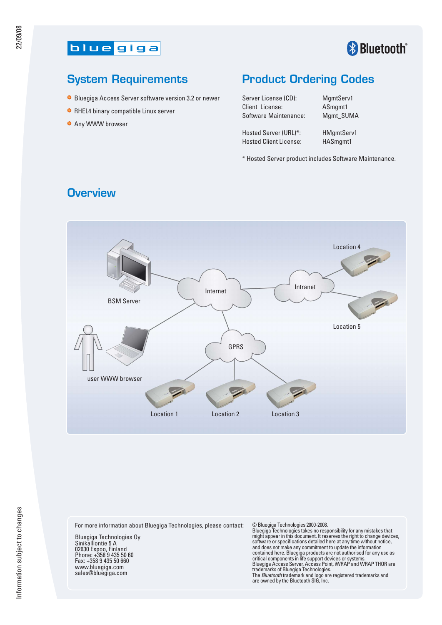

# **& Bluetooth**®

#### System Requirements

- **Bluegiga Access Server software version 3.2 or newer**
- **RHEL4 binary compatible Linux server**
- **O** Any WWW browser

#### Product Ordering Codes

Server License (CD): MamtServ1 Client License: ASmgmt1 Software Maintenance: Mgmt\_SUMA

Hosted Server (URL)\*: HMgmtServ1 Hosted Client License: HASmgmt1

\* Hosted Server product includes Software Maintenance.

# Location 4 Internet Intranet BSM Server Location 5 GPRS user WWW browser $\overline{\mathscr{L}}$ Location 1 Location 2 Location 3

#### **Overview**

For more information about Bluegiga Technologies, please contact:

Bluegiga Technologies Oy Sinikalliontie 5 A 02630 Espoo, Finland Phone: +358 9 435 50 60 Fax: +358 9 435 50 660 www.bluegiga.com sales@bluegiga.com

© Bluegiga Technologies 2000-2008. Bluegiga Technologies takes no responsibility for any mistakes that might appear in this document. It reserves the right to change devices, software or specifications detailed here at any time without notice, and does not make any commitment to update the information<br>contained here. Bluegiga products are not authorised for any use as<br>critical components in life support devices or systems.<br>Bluegiga Access Server, Access Point, i are owned by the Bluetooth SIG, Inc.